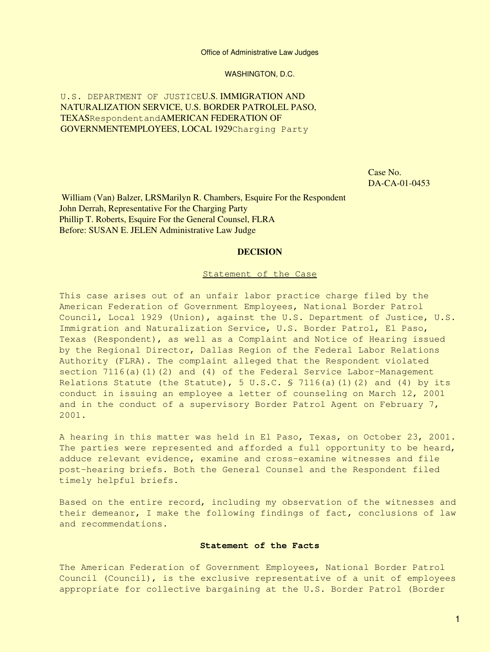Office of Administrative Law Judges

WASHINGTON, D.C.

U.S. DEPARTMENT OF JUSTICEU.S. IMMIGRATION AND NATURALIZATION SERVICE, U.S. BORDER PATROLEL PASO, TEXASRespondentandAMERICAN FEDERATION OF GOVERNMENTEMPLOYEES, LOCAL 1929Charging Party

> Case No. DA-CA-01-0453

 William (Van) Balzer, LRSMarilyn R. Chambers, Esquire For the Respondent John Derrah, Representative For the Charging Party Phillip T. Roberts, Esquire For the General Counsel, FLRA Before: SUSAN E. JELEN Administrative Law Judge

### **DECISION**

#### Statement of the Case

This case arises out of an unfair labor practice charge filed by the American Federation of Government Employees, National Border Patrol Council, Local 1929 (Union), against the U.S. Department of Justice, U.S. Immigration and Naturalization Service, U.S. Border Patrol, El Paso, Texas (Respondent), as well as a Complaint and Notice of Hearing issued by the Regional Director, Dallas Region of the Federal Labor Relations Authority (FLRA). The complaint alleged that the Respondent violated section  $7116(a)(1)(2)$  and  $(4)$  of the Federal Service Labor-Management Relations Statute (the Statute), 5 U.S.C. § 7116(a)(1)(2) and (4) by its conduct in issuing an employee a letter of counseling on March 12, 2001 and in the conduct of a supervisory Border Patrol Agent on February 7, 2001.

A hearing in this matter was held in El Paso, Texas, on October 23, 2001. The parties were represented and afforded a full opportunity to be heard, adduce relevant evidence, examine and cross-examine witnesses and file post-hearing briefs. Both the General Counsel and the Respondent filed timely helpful briefs.

Based on the entire record, including my observation of the witnesses and their demeanor, I make the following findings of fact, conclusions of law and recommendations.

### **Statement of the Facts**

The American Federation of Government Employees, National Border Patrol Council (Council), is the exclusive representative of a unit of employees appropriate for collective bargaining at the U.S. Border Patrol (Border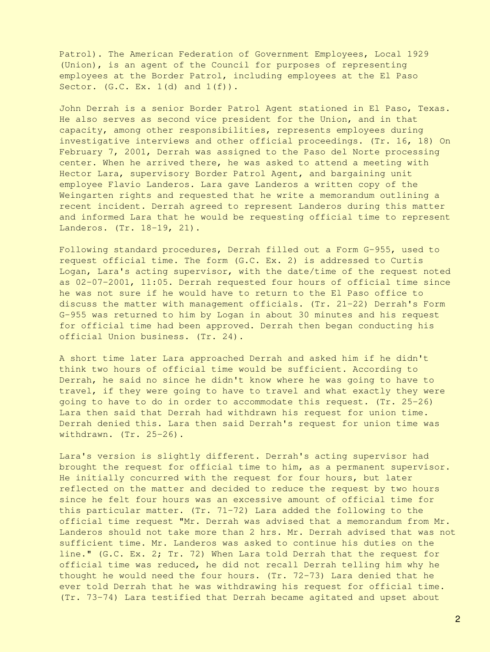Patrol). The American Federation of Government Employees, Local 1929 (Union), is an agent of the Council for purposes of representing employees at the Border Patrol, including employees at the El Paso Sector.  $(G.C. Ex. 1(d) and 1(f))$ .

John Derrah is a senior Border Patrol Agent stationed in El Paso, Texas. He also serves as second vice president for the Union, and in that capacity, among other responsibilities, represents employees during investigative interviews and other official proceedings. (Tr. 16, 18) On February 7, 2001, Derrah was assigned to the Paso del Norte processing center. When he arrived there, he was asked to attend a meeting with Hector Lara, supervisory Border Patrol Agent, and bargaining unit employee Flavio Landeros. Lara gave Landeros a written copy of the Weingarten rights and requested that he write a memorandum outlining a recent incident. Derrah agreed to represent Landeros during this matter and informed Lara that he would be requesting official time to represent Landeros. (Tr. 18-19, 21).

Following standard procedures, Derrah filled out a Form G-955, used to request official time. The form (G.C. Ex. 2) is addressed to Curtis Logan, Lara's acting supervisor, with the date/time of the request noted as 02-07-2001, 11:05. Derrah requested four hours of official time since he was not sure if he would have to return to the El Paso office to discuss the matter with management officials. (Tr. 21-22) Derrah's Form G-955 was returned to him by Logan in about 30 minutes and his request for official time had been approved. Derrah then began conducting his official Union business. (Tr. 24).

A short time later Lara approached Derrah and asked him if he didn't think two hours of official time would be sufficient. According to Derrah, he said no since he didn't know where he was going to have to travel, if they were going to have to travel and what exactly they were going to have to do in order to accommodate this request. (Tr. 25-26) Lara then said that Derrah had withdrawn his request for union time. Derrah denied this. Lara then said Derrah's request for union time was withdrawn. (Tr. 25-26).

Lara's version is slightly different. Derrah's acting supervisor had brought the request for official time to him, as a permanent supervisor. He initially concurred with the request for four hours, but later reflected on the matter and decided to reduce the request by two hours since he felt four hours was an excessive amount of official time for this particular matter. (Tr. 71-72) Lara added the following to the official time request "Mr. Derrah was advised that a memorandum from Mr. Landeros should not take more than 2 hrs. Mr. Derrah advised that was not sufficient time. Mr. Landeros was asked to continue his duties on the line." (G.C. Ex. 2; Tr. 72) When Lara told Derrah that the request for official time was reduced, he did not recall Derrah telling him why he thought he would need the four hours. (Tr. 72-73) Lara denied that he ever told Derrah that he was withdrawing his request for official time. (Tr. 73-74) Lara testified that Derrah became agitated and upset about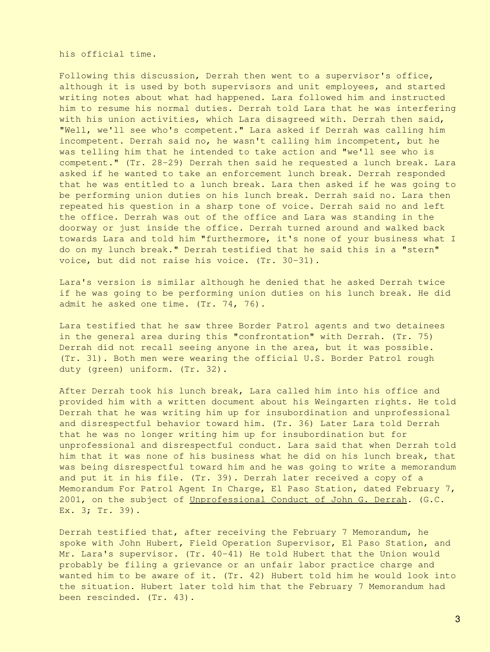his official time.

Following this discussion, Derrah then went to a supervisor's office, although it is used by both supervisors and unit employees, and started writing notes about what had happened. Lara followed him and instructed him to resume his normal duties. Derrah told Lara that he was interfering with his union activities, which Lara disagreed with. Derrah then said, "Well, we'll see who's competent." Lara asked if Derrah was calling him incompetent. Derrah said no, he wasn't calling him incompetent, but he was telling him that he intended to take action and "we'll see who is competent." (Tr. 28-29) Derrah then said he requested a lunch break. Lara asked if he wanted to take an enforcement lunch break. Derrah responded that he was entitled to a lunch break. Lara then asked if he was going to be performing union duties on his lunch break. Derrah said no. Lara then repeated his question in a sharp tone of voice. Derrah said no and left the office. Derrah was out of the office and Lara was standing in the doorway or just inside the office. Derrah turned around and walked back towards Lara and told him "furthermore, it's none of your business what I do on my lunch break." Derrah testified that he said this in a "stern" voice, but did not raise his voice. (Tr. 30-31).

Lara's version is similar although he denied that he asked Derrah twice if he was going to be performing union duties on his lunch break. He did admit he asked one time. (Tr. 74, 76).

Lara testified that he saw three Border Patrol agents and two detainees in the general area during this "confrontation" with Derrah. (Tr. 75) Derrah did not recall seeing anyone in the area, but it was possible. (Tr. 31). Both men were wearing the official U.S. Border Patrol rough duty (green) uniform. (Tr. 32).

After Derrah took his lunch break, Lara called him into his office and provided him with a written document about his Weingarten rights. He told Derrah that he was writing him up for insubordination and unprofessional and disrespectful behavior toward him. (Tr. 36) Later Lara told Derrah that he was no longer writing him up for insubordination but for unprofessional and disrespectful conduct. Lara said that when Derrah told him that it was none of his business what he did on his lunch break, that was being disrespectful toward him and he was going to write a memorandum and put it in his file. (Tr. 39). Derrah later received a copy of a Memorandum For Patrol Agent In Charge, El Paso Station, dated February 7, 2001, on the subject of Unprofessional Conduct of John G. Derrah. (G.C. Ex. 3; Tr. 39).

Derrah testified that, after receiving the February 7 Memorandum, he spoke with John Hubert, Field Operation Supervisor, El Paso Station, and Mr. Lara's supervisor. (Tr. 40-41) He told Hubert that the Union would probably be filing a grievance or an unfair labor practice charge and wanted him to be aware of it. (Tr. 42) Hubert told him he would look into the situation. Hubert later told him that the February 7 Memorandum had been rescinded. (Tr. 43).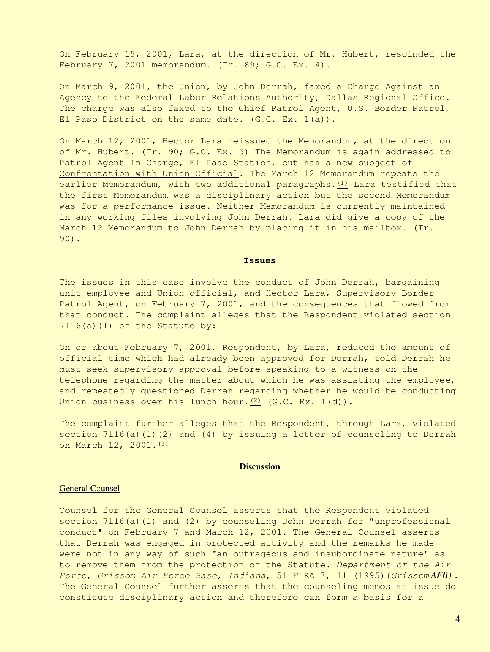On February 15, 2001, Lara, at the direction of Mr. Hubert, rescinded the February 7, 2001 memorandum. (Tr. 89; G.C. Ex. 4).

On March 9, 2001, the Union, by John Derrah, faxed a Charge Against an Agency to the Federal Labor Relations Authority, Dallas Regional Office. The charge was also faxed to the Chief Patrol Agent, U.S. Border Patrol, El Paso District on the same date. (G.C. Ex. 1(a)).

On March 12, 2001, Hector Lara reissued the Memorandum, at the direction of Mr. Hubert. (Tr. 90; G.C. Ex. 5) The Memorandum is again addressed to Patrol Agent In Charge, El Paso Station, but has a new subject of Confrontation with Union Official. The March 12 Memorandum repeats the earlier Memorandum, with two additional paragraphs. $(1)$  Lara testified that the first Memorandum was a disciplinary action but the second Memorandum was for a performance issue. Neither Memorandum is currently maintained in any working files involving John Derrah. Lara did give a copy of the March 12 Memorandum to John Derrah by placing it in his mailbox. (Tr. 90).

#### **Issues**

The issues in this case involve the conduct of John Derrah, bargaining unit employee and Union official, and Hector Lara, Supervisory Border Patrol Agent, on February 7, 2001, and the consequences that flowed from that conduct. The complaint alleges that the Respondent violated section  $7116(a)(1)$  of the Statute by:

On or about February 7, 2001, Respondent, by Lara, reduced the amount of official time which had already been approved for Derrah, told Derrah he must seek supervisory approval before speaking to a witness on the telephone regarding the matter about which he was assisting the employee, and repeatedly questioned Derrah regarding whether he would be conducting Union business over his lunch hour. $(2)$  (G.C. Ex. 1(d)).

The complaint further alleges that the Respondent, through Lara, violated section  $7116(a)(1)(2)$  and  $(4)$  by issuing a letter of counseling to Derrah on March 12, 2001. [\(3\)](#page-10-2)

#### **Discussion**

### General Counsel

Counsel for the General Counsel asserts that the Respondent violated section  $7116(a)(1)$  and  $(2)$  by counseling John Derrah for "unprofessional conduct" on February 7 and March 12, 2001. The General Counsel asserts that Derrah was engaged in protected activity and the remarks he made were not in any way of such "an outrageous and insubordinate nature" as to remove them from the protection of the Statute. *Department of the Air Force, Grissom Air Force Base, Indiana*, 51 FLRA 7, 11 (1995)(*Grissom AFB).* The General Counsel further asserts that the counseling memos at issue do constitute disciplinary action and therefore can form a basis for a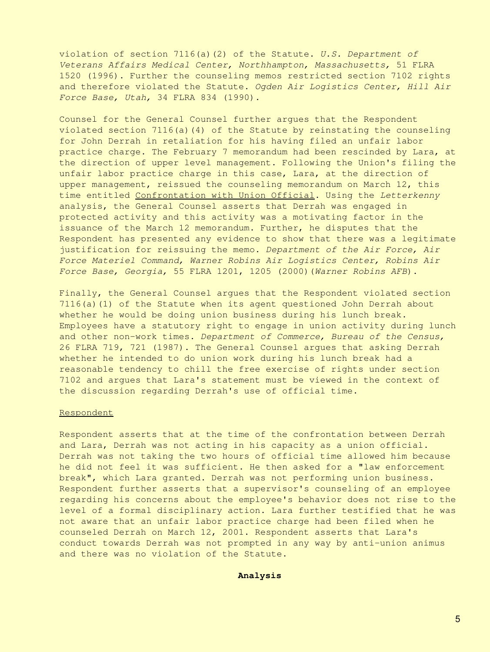violation of section 7116(a)(2) of the Statute. *U.S. Department of Veterans Affairs Medical Center, Northhampton, Massachusetts,* 51 FLRA 1520 (1996). Further the counseling memos restricted section 7102 rights and therefore violated the Statute. *Ogden Air Logistics Center, Hill Air Force Base, Utah,* 34 FLRA 834 (1990).

Counsel for the General Counsel further argues that the Respondent violated section 7116(a)(4) of the Statute by reinstating the counseling for John Derrah in retaliation for his having filed an unfair labor practice charge. The February 7 memorandum had been rescinded by Lara, at the direction of upper level management. Following the Union's filing the unfair labor practice charge in this case, Lara, at the direction of upper management, reissued the counseling memorandum on March 12, this time entitled Confrontation with Union Official. Using the *Letterkenny* analysis, the General Counsel asserts that Derrah was engaged in protected activity and this activity was a motivating factor in the issuance of the March 12 memorandum. Further, he disputes that the Respondent has presented any evidence to show that there was a legitimate justification for reissuing the memo. *Department of the Air Force, Air Force Materiel Command, Warner Robins Air Logistics Center, Robins Air Force Base, Georgia,* 55 FLRA 1201, 1205 (2000)(*Warner Robins AFB*).

Finally, the General Counsel argues that the Respondent violated section 7116(a)(1) of the Statute when its agent questioned John Derrah about whether he would be doing union business during his lunch break. Employees have a statutory right to engage in union activity during lunch and other non-work times. *Department of Commerce, Bureau of the Census,* 26 FLRA 719, 721 (1987). The General Counsel argues that asking Derrah whether he intended to do union work during his lunch break had a reasonable tendency to chill the free exercise of rights under section 7102 and argues that Lara's statement must be viewed in the context of the discussion regarding Derrah's use of official time.

#### Respondent

Respondent asserts that at the time of the confrontation between Derrah and Lara, Derrah was not acting in his capacity as a union official. Derrah was not taking the two hours of official time allowed him because he did not feel it was sufficient. He then asked for a "law enforcement break", which Lara granted. Derrah was not performing union business. Respondent further asserts that a supervisor's counseling of an employee regarding his concerns about the employee's behavior does not rise to the level of a formal disciplinary action. Lara further testified that he was not aware that an unfair labor practice charge had been filed when he counseled Derrah on March 12, 2001. Respondent asserts that Lara's conduct towards Derrah was not prompted in any way by anti-union animus and there was no violation of the Statute.

**Analysis**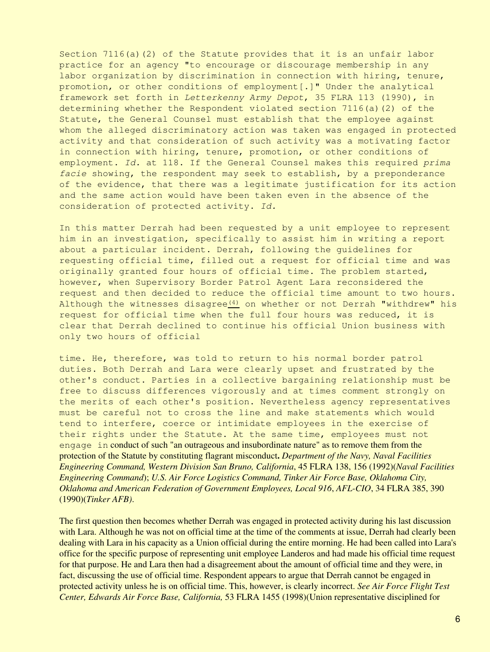Section  $7116(a)(2)$  of the Statute provides that it is an unfair labor practice for an agency "to encourage or discourage membership in any labor organization by discrimination in connection with hiring, tenure, promotion, or other conditions of employment[.]" Under the analytical framework set forth in *Letterkenny Army Depot*, 35 FLRA 113 (1990), in determining whether the Respondent violated section 7116(a)(2) of the Statute, the General Counsel must establish that the employee against whom the alleged discriminatory action was taken was engaged in protected activity and that consideration of such activity was a motivating factor in connection with hiring, tenure, promotion, or other conditions of employment. *Id.* at 118. If the General Counsel makes this required *prima facie* showing, the respondent may seek to establish, by a preponderance of the evidence, that there was a legitimate justification for its action and the same action would have been taken even in the absence of the consideration of protected activity. *Id.*

In this matter Derrah had been requested by a unit employee to represent him in an investigation, specifically to assist him in writing a report about a particular incident. Derrah, following the guidelines for requesting official time, filled out a request for official time and was originally granted four hours of official time. The problem started, however, when Supervisory Border Patrol Agent Lara reconsidered the request and then decided to reduce the official time amount to two hours. Although the witnesses disagree $(4)$  on whether or not Derrah "withdrew" his request for official time when the full four hours was reduced, it is clear that Derrah declined to continue his official Union business with only two hours of official

time. He, therefore, was told to return to his normal border patrol duties. Both Derrah and Lara were clearly upset and frustrated by the other's conduct. Parties in a collective bargaining relationship must be free to discuss differences vigorously and at times comment strongly on the merits of each other's position. Nevertheless agency representatives must be careful not to cross the line and make statements which would tend to interfere, coerce or intimidate employees in the exercise of their rights under the Statute. At the same time, employees must not engage in conduct of such "an outrageous and insubordinate nature" as to remove them from the protection of the Statute by constituting flagrant misconduct**.** *Department of the Navy, Naval Facilities Engineering Command, Western Division San Bruno, California*, 45 FLRA 138, 156 (1992)(*Naval Facilities Engineering Command*); *U.S. Air Force Logistics Command, Tinker Air Force Base, Oklahoma City, Oklahoma and American Federation of Government Employees, Local 916*, *AFL-CIO*, 34 FLRA 385, 390 (1990)(*Tinker AFB)*.

The first question then becomes whether Derrah was engaged in protected activity during his last discussion with Lara. Although he was not on official time at the time of the comments at issue, Derrah had clearly been dealing with Lara in his capacity as a Union official during the entire morning. He had been called into Lara's office for the specific purpose of representing unit employee Landeros and had made his official time request for that purpose. He and Lara then had a disagreement about the amount of official time and they were, in fact, discussing the use of official time. Respondent appears to argue that Derrah cannot be engaged in protected activity unless he is on official time. This, however, is clearly incorrect. *See Air Force Flight Test Center, Edwards Air Force Base, California,* 53 FLRA 1455 (1998)(Union representative disciplined for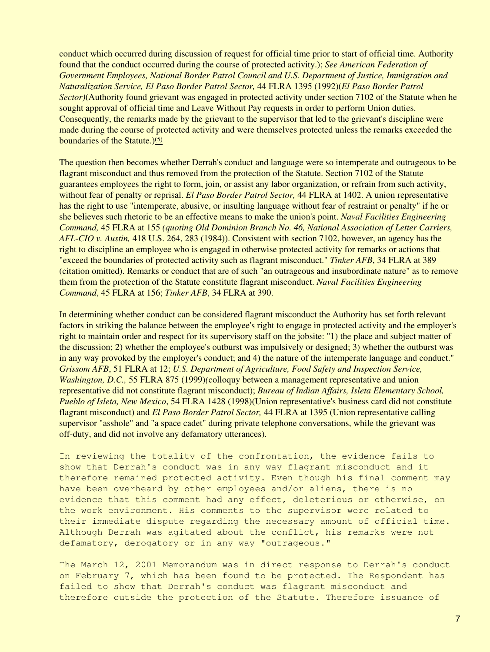conduct which occurred during discussion of request for official time prior to start of official time. Authority found that the conduct occurred during the course of protected activity.); *See American Federation of Government Employees, National Border Patrol Council and U.S. Department of Justice, Immigration and Naturalization Service, El Paso Border Patrol Sector,* 44 FLRA 1395 (1992)(*El Paso Border Patrol Sector)*(Authority found grievant was engaged in protected activity under section 7102 of the Statute when he sought approval of official time and Leave Without Pay requests in order to perform Union duties. Consequently, the remarks made by the grievant to the supervisor that led to the grievant's discipline were made during the course of protected activity and were themselves protected unless the remarks exceeded the boundaries of the Statute. $)(5)$  $)(5)$ 

The question then becomes whether Derrah's conduct and language were so intemperate and outrageous to be flagrant misconduct and thus removed from the protection of the Statute. Section 7102 of the Statute guarantees employees the right to form, join, or assist any labor organization, or refrain from such activity, without fear of penalty or reprisal. *El Paso Border Patrol Sector,* 44 FLRA at 1402. A union representative has the right to use "intemperate, abusive, or insulting language without fear of restraint or penalty" if he or she believes such rhetoric to be an effective means to make the union's point. *Naval Facilities Engineering Command,* 45 FLRA at 155 *(quoting Old Dominion Branch No. 46, National Association of Letter Carriers, AFL-CIO v. Austin,* 418 U.S. 264, 283 (1984)). Consistent with section 7102, however, an agency has the right to discipline an employee who is engaged in otherwise protected activity for remarks or actions that "exceed the boundaries of protected activity such as flagrant misconduct." *Tinker AFB*, 34 FLRA at 389 (citation omitted). Remarks or conduct that are of such "an outrageous and insubordinate nature" as to remove them from the protection of the Statute constitute flagrant misconduct. *Naval Facilities Engineering Command*, 45 FLRA at 156; *Tinker AFB*, 34 FLRA at 390.

In determining whether conduct can be considered flagrant misconduct the Authority has set forth relevant factors in striking the balance between the employee's right to engage in protected activity and the employer's right to maintain order and respect for its supervisory staff on the jobsite: "1) the place and subject matter of the discussion; 2) whether the employee's outburst was impulsively or designed; 3) whether the outburst was in any way provoked by the employer's conduct; and 4) the nature of the intemperate language and conduct." *Grissom AFB*, 51 FLRA at 12; *U.S. Department of Agriculture, Food Safety and Inspection Service, Washington, D.C.,* 55 FLRA 875 (1999)*(*colloquy between a management representative and union representative did not constitute flagrant misconduct); *Bureau of Indian Affairs, Isleta Elementary School, Pueblo of Isleta, New Mexico*, 54 FLRA 1428 (1998)(Union representative's business card did not constitute flagrant misconduct) and *El Paso Border Patrol Sector,* 44 FLRA at 1395 (Union representative calling supervisor "asshole" and "a space cadet" during private telephone conversations, while the grievant was off-duty, and did not involve any defamatory utterances).

In reviewing the totality of the confrontation, the evidence fails to show that Derrah's conduct was in any way flagrant misconduct and it therefore remained protected activity. Even though his final comment may have been overheard by other employees and/or aliens, there is no evidence that this comment had any effect, deleterious or otherwise, on the work environment. His comments to the supervisor were related to their immediate dispute regarding the necessary amount of official time. Although Derrah was agitated about the conflict, his remarks were not defamatory, derogatory or in any way "outrageous."

The March 12, 2001 Memorandum was in direct response to Derrah's conduct on February 7, which has been found to be protected. The Respondent has failed to show that Derrah's conduct was flagrant misconduct and therefore outside the protection of the Statute. Therefore issuance of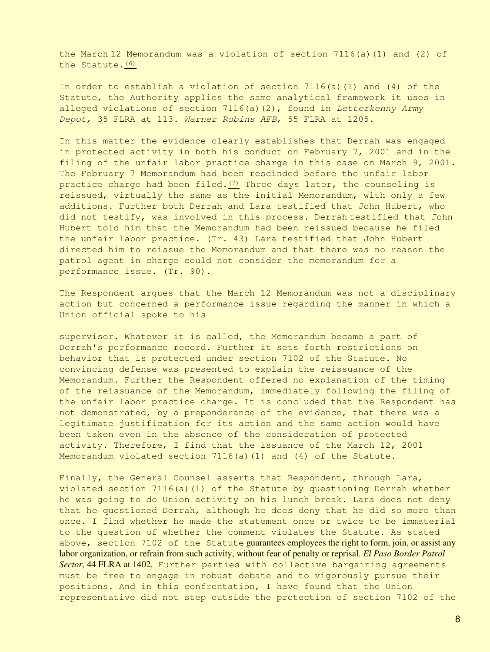the March 12 Memorandum was a violation of section 7116(a)(1) and (2) of the Statute.[\(6\)](#page-11-2)

In order to establish a violation of section 7116(a)(1) and (4) of the Statute, the Authority applies the same analytical framework it uses in alleged violations of section 7116(a)(2), found in *Letterkenny Army Depot,* 35 FLRA at 113. *Warner Robins AFB,* 55 FLRA at 1205.

In this matter the evidence clearly establishes that Derrah was engaged in protected activity in both his conduct on February 7, 2001 and in the filing of the unfair labor practice charge in this case on March 9, 2001. The February 7 Memorandum had been rescinded before the unfair labor practice charge had been filed. $(7)$  Three days later, the counseling is reissued, virtually the same as the initial Memorandum, with only a few additions. Further both Derrah and Lara testified that John Hubert, who did not testify, was involved in this process. Derrah testified that John Hubert told him that the Memorandum had been reissued because he filed the unfair labor practice. (Tr. 43) Lara testified that John Hubert directed him to reissue the Memorandum and that there was no reason the patrol agent in charge could not consider the memorandum for a performance issue. (Tr. 90).

The Respondent argues that the March 12 Memorandum was not a disciplinary action but concerned a performance issue regarding the manner in which a Union official spoke to his

supervisor. Whatever it is called, the Memorandum became a part of Derrah's performance record. Further it sets forth restrictions on behavior that is protected under section 7102 of the Statute. No convincing defense was presented to explain the reissuance of the Memorandum. Further the Respondent offered no explanation of the timing of the reissuance of the Memorandum, immediately following the filing of the unfair labor practice charge. It is concluded that the Respondent has not demonstrated, by a preponderance of the evidence, that there was a legitimate justification for its action and the same action would have been taken even in the absence of the consideration of protected activity. Therefore, I find that the issuance of the March 12, 2001 Memorandum violated section 7116(a)(1) and (4) of the Statute.

Finally, the General Counsel asserts that Respondent, through Lara, violated section 7116(a)(1) of the Statute by questioning Derrah whether he was going to do Union activity on his lunch break. Lara does not deny that he questioned Derrah, although he does deny that he did so more than once. I find whether he made the statement once or twice to be immaterial to the question of whether the comment violates the Statute. As stated above, section 7102 of the Statute guarantees employees the right to form, join, or assist any labor organization, or refrain from such activity, without fear of penalty or reprisal. *El Paso Border Patrol Sector,* 44 FLRA at 1402. Further parties with collective bargaining agreements must be free to engage in robust debate and to vigorously pursue their positions. And in this confrontation, I have found that the Union representative did not step outside the protection of section 7102 of the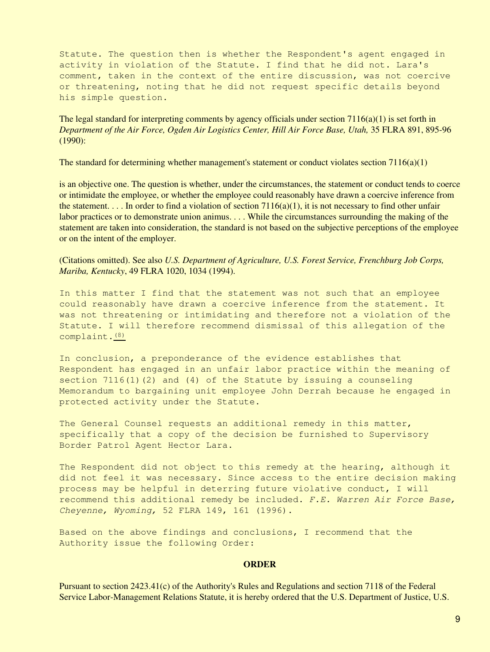Statute. The question then is whether the Respondent's agent engaged in activity in violation of the Statute. I find that he did not. Lara's comment, taken in the context of the entire discussion, was not coercive or threatening, noting that he did not request specific details beyond his simple question.

The legal standard for interpreting comments by agency officials under section  $7116(a)(1)$  is set forth in *Department of the Air Force, Ogden Air Logistics Center, Hill Air Force Base, Utah,* 35 FLRA 891, 895-96 (1990):

The standard for determining whether management's statement or conduct violates section  $7116(a)(1)$ 

is an objective one. The question is whether, under the circumstances, the statement or conduct tends to coerce or intimidate the employee, or whether the employee could reasonably have drawn a coercive inference from the statement. . . . In order to find a violation of section 7116(a)(1), it is not necessary to find other unfair labor practices or to demonstrate union animus. . . . While the circumstances surrounding the making of the statement are taken into consideration, the standard is not based on the subjective perceptions of the employee or on the intent of the employer.

(Citations omitted). See also *U.S. Department of Agriculture, U.S. Forest Service, Frenchburg Job Corps, Mariba, Kentucky*, 49 FLRA 1020, 1034 (1994).

In this matter I find that the statement was not such that an employee could reasonably have drawn a coercive inference from the statement. It was not threatening or intimidating and therefore not a violation of the Statute. I will therefore recommend dismissal of this allegation of the complaint.[\(8\)](#page-11-4)

In conclusion, a preponderance of the evidence establishes that Respondent has engaged in an unfair labor practice within the meaning of section  $7116(1)(2)$  and  $(4)$  of the Statute by issuing a counseling Memorandum to bargaining unit employee John Derrah because he engaged in protected activity under the Statute.

The General Counsel requests an additional remedy in this matter, specifically that a copy of the decision be furnished to Supervisory Border Patrol Agent Hector Lara.

The Respondent did not object to this remedy at the hearing, although it did not feel it was necessary. Since access to the entire decision making process may be helpful in deterring future violative conduct, I will recommend this additional remedy be included. *F.E. Warren Air Force Base, Cheyenne, Wyoming,* 52 FLRA 149, 161 (1996).

Based on the above findings and conclusions, I recommend that the Authority issue the following Order:

### **ORDER**

Pursuant to section 2423.41(c) of the Authority's Rules and Regulations and section 7118 of the Federal Service Labor-Management Relations Statute, it is hereby ordered that the U.S. Department of Justice, U.S.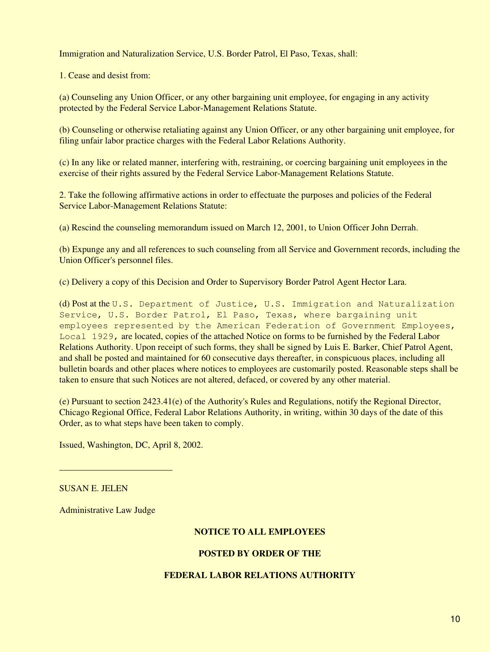Immigration and Naturalization Service, U.S. Border Patrol, El Paso, Texas, shall:

1. Cease and desist from:

(a) Counseling any Union Officer, or any other bargaining unit employee, for engaging in any activity protected by the Federal Service Labor-Management Relations Statute.

(b) Counseling or otherwise retaliating against any Union Officer, or any other bargaining unit employee, for filing unfair labor practice charges with the Federal Labor Relations Authority.

(c) In any like or related manner, interfering with, restraining, or coercing bargaining unit employees in the exercise of their rights assured by the Federal Service Labor-Management Relations Statute.

2. Take the following affirmative actions in order to effectuate the purposes and policies of the Federal Service Labor-Management Relations Statute:

(a) Rescind the counseling memorandum issued on March 12, 2001, to Union Officer John Derrah.

(b) Expunge any and all references to such counseling from all Service and Government records, including the Union Officer's personnel files.

(c) Delivery a copy of this Decision and Order to Supervisory Border Patrol Agent Hector Lara.

(d) Post at the U.S. Department of Justice, U.S. Immigration and Naturalization Service, U.S. Border Patrol, El Paso, Texas, where bargaining unit employees represented by the American Federation of Government Employees, Local 1929, are located, copies of the attached Notice on forms to be furnished by the Federal Labor Relations Authority. Upon receipt of such forms, they shall be signed by Luis E. Barker, Chief Patrol Agent, and shall be posted and maintained for 60 consecutive days thereafter, in conspicuous places, including all bulletin boards and other places where notices to employees are customarily posted. Reasonable steps shall be taken to ensure that such Notices are not altered, defaced, or covered by any other material.

(e) Pursuant to section 2423.41(e) of the Authority's Rules and Regulations, notify the Regional Director, Chicago Regional Office, Federal Labor Relations Authority, in writing, within 30 days of the date of this Order, as to what steps have been taken to comply.

Issued, Washington, DC, April 8, 2002.

SUSAN E. JELEN

Administrative Law Judge

\_\_\_\_\_\_\_\_\_\_\_\_\_\_\_\_\_\_\_\_\_\_\_\_\_

# **NOTICE TO ALL EMPLOYEES**

## **POSTED BY ORDER OF THE**

# **FEDERAL LABOR RELATIONS AUTHORITY**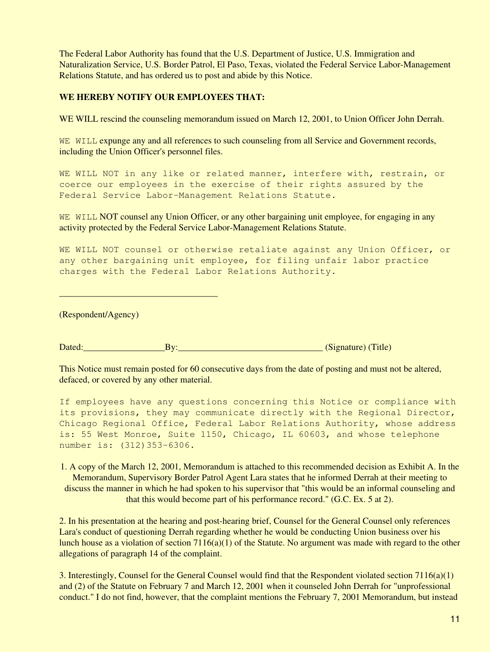The Federal Labor Authority has found that the U.S. Department of Justice, U.S. Immigration and Naturalization Service, U.S. Border Patrol, El Paso, Texas, violated the Federal Service Labor-Management Relations Statute, and has ordered us to post and abide by this Notice.

## **WE HEREBY NOTIFY OUR EMPLOYEES THAT:**

WE WILL rescind the counseling memorandum issued on March 12, 2001, to Union Officer John Derrah.

WE WILL expunge any and all references to such counseling from all Service and Government records, including the Union Officer's personnel files.

WE WILL NOT in any like or related manner, interfere with, restrain, or coerce our employees in the exercise of their rights assured by the Federal Service Labor-Management Relations Statute.

WE WILL NOT counsel any Union Officer, or any other bargaining unit employee, for engaging in any activity protected by the Federal Service Labor-Management Relations Statute.

WE WILL NOT counsel or otherwise retaliate against any Union Officer, or any other bargaining unit employee, for filing unfair labor practice charges with the Federal Labor Relations Authority.

(Respondent/Agency)

 $\overline{\phantom{a}}$  , and the set of the set of the set of the set of the set of the set of the set of the set of the set of the set of the set of the set of the set of the set of the set of the set of the set of the set of the s

Dated:\_\_\_\_\_\_\_\_\_\_\_\_\_\_\_\_\_\_By:\_\_\_\_\_\_\_\_\_\_\_\_\_\_\_\_\_\_\_\_\_\_\_\_\_\_\_\_\_\_\_\_ (Signature) (Title)

This Notice must remain posted for 60 consecutive days from the date of posting and must not be altered, defaced, or covered by any other material.

If employees have any questions concerning this Notice or compliance with its provisions, they may communicate directly with the Regional Director, Chicago Regional Office, Federal Labor Relations Authority, whose address is: 55 West Monroe, Suite 1150, Chicago, IL 60603, and whose telephone number is: (312)353-6306.

<span id="page-10-0"></span>1. A copy of the March 12, 2001, Memorandum is attached to this recommended decision as Exhibit A. In the Memorandum, Supervisory Border Patrol Agent Lara states that he informed Derrah at their meeting to discuss the manner in which he had spoken to his supervisor that "this would be an informal counseling and that this would become part of his performance record." (G.C. Ex. 5 at 2).

<span id="page-10-1"></span>2. In his presentation at the hearing and post-hearing brief, Counsel for the General Counsel only references Lara's conduct of questioning Derrah regarding whether he would be conducting Union business over his lunch house as a violation of section 7116(a)(1) of the Statute. No argument was made with regard to the other allegations of paragraph 14 of the complaint.

<span id="page-10-2"></span>3. Interestingly, Counsel for the General Counsel would find that the Respondent violated section 7116(a)(1) and (2) of the Statute on February 7 and March 12, 2001 when it counseled John Derrah for "unprofessional conduct." I do not find, however, that the complaint mentions the February 7, 2001 Memorandum, but instead